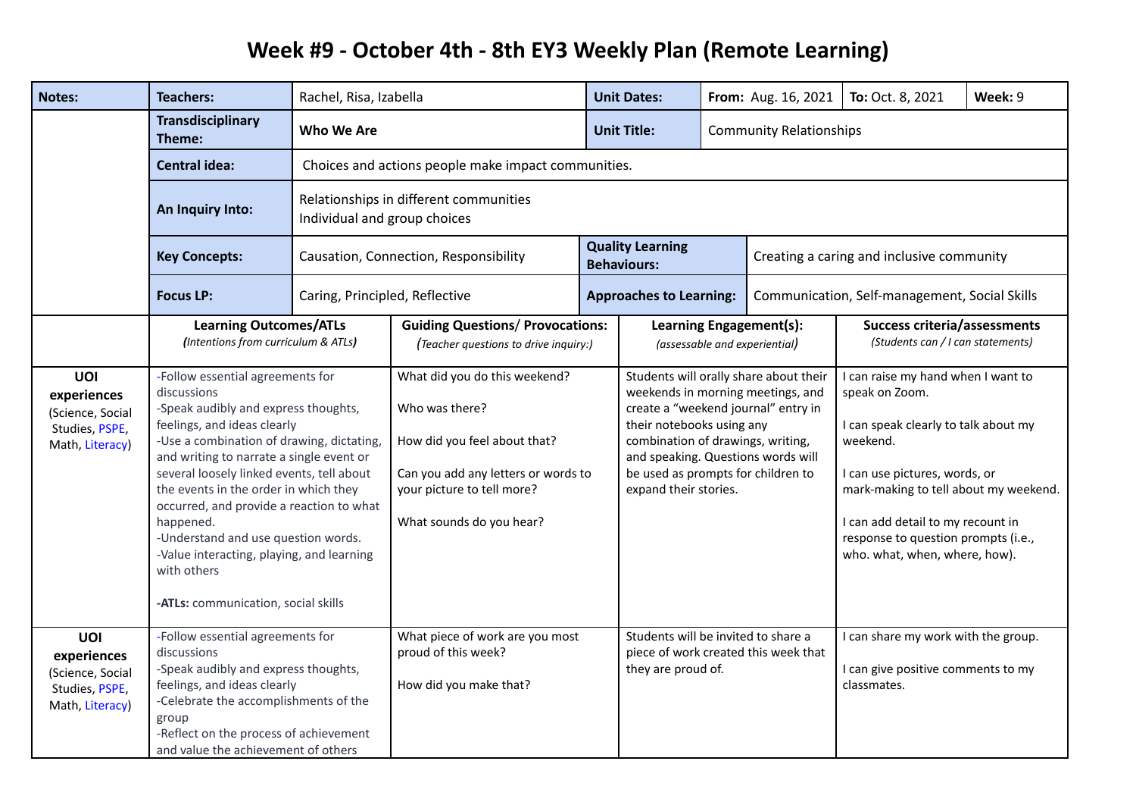## **Week #9 - October 4th - 8th EY3 Weekly Plan (Remote Learning)**

| <b>Notes:</b>                                                               | <b>Teachers:</b>                                                                                                                                                                                                                                                                                                                                                                                                                                                                                         | Rachel, Risa, Izabella                                             |                                                                                                                                                                                  |  | <b>Unit Dates:</b>                                                                                                                                                                                                                                                                        |                                                          | From: Aug. 16, 2021                                                                                                                                                                                                                                                                             | To: Oct. 8, 2021                                                                         | Week: 9 |
|-----------------------------------------------------------------------------|----------------------------------------------------------------------------------------------------------------------------------------------------------------------------------------------------------------------------------------------------------------------------------------------------------------------------------------------------------------------------------------------------------------------------------------------------------------------------------------------------------|--------------------------------------------------------------------|----------------------------------------------------------------------------------------------------------------------------------------------------------------------------------|--|-------------------------------------------------------------------------------------------------------------------------------------------------------------------------------------------------------------------------------------------------------------------------------------------|----------------------------------------------------------|-------------------------------------------------------------------------------------------------------------------------------------------------------------------------------------------------------------------------------------------------------------------------------------------------|------------------------------------------------------------------------------------------|---------|
|                                                                             | <b>Transdisciplinary</b><br>Theme:                                                                                                                                                                                                                                                                                                                                                                                                                                                                       | Who We Are<br><b>Unit Title:</b><br><b>Community Relationships</b> |                                                                                                                                                                                  |  |                                                                                                                                                                                                                                                                                           |                                                          |                                                                                                                                                                                                                                                                                                 |                                                                                          |         |
|                                                                             | <b>Central idea:</b>                                                                                                                                                                                                                                                                                                                                                                                                                                                                                     | Choices and actions people make impact communities.                |                                                                                                                                                                                  |  |                                                                                                                                                                                                                                                                                           |                                                          |                                                                                                                                                                                                                                                                                                 |                                                                                          |         |
|                                                                             | An Inquiry Into:                                                                                                                                                                                                                                                                                                                                                                                                                                                                                         |                                                                    | Relationships in different communities<br>Individual and group choices                                                                                                           |  |                                                                                                                                                                                                                                                                                           |                                                          |                                                                                                                                                                                                                                                                                                 |                                                                                          |         |
|                                                                             | <b>Key Concepts:</b>                                                                                                                                                                                                                                                                                                                                                                                                                                                                                     |                                                                    | Causation, Connection, Responsibility                                                                                                                                            |  | <b>Quality Learning</b><br><b>Behaviours:</b>                                                                                                                                                                                                                                             |                                                          | Creating a caring and inclusive community                                                                                                                                                                                                                                                       |                                                                                          |         |
|                                                                             | <b>Focus LP:</b>                                                                                                                                                                                                                                                                                                                                                                                                                                                                                         | Caring, Principled, Reflective                                     |                                                                                                                                                                                  |  | <b>Approaches to Learning:</b>                                                                                                                                                                                                                                                            |                                                          | Communication, Self-management, Social Skills                                                                                                                                                                                                                                                   |                                                                                          |         |
|                                                                             | <b>Learning Outcomes/ATLs</b><br>(Intentions from curriculum & ATLs)                                                                                                                                                                                                                                                                                                                                                                                                                                     |                                                                    | <b>Guiding Questions/ Provocations:</b><br>(Teacher questions to drive inquiry:)                                                                                                 |  |                                                                                                                                                                                                                                                                                           | Learning Engagement(s):<br>(assessable and experiential) |                                                                                                                                                                                                                                                                                                 | <b>Success criteria/assessments</b><br>(Students can / I can statements)                 |         |
| UOI<br>experiences<br>(Science, Social<br>Studies, PSPE,<br>Math, Literacy) | -Follow essential agreements for<br>discussions<br>-Speak audibly and express thoughts,<br>feelings, and ideas clearly<br>-Use a combination of drawing, dictating,<br>and writing to narrate a single event or<br>several loosely linked events, tell about<br>the events in the order in which they<br>occurred, and provide a reaction to what<br>happened.<br>-Understand and use question words.<br>-Value interacting, playing, and learning<br>with others<br>-ATLs: communication, social skills |                                                                    | What did you do this weekend?<br>Who was there?<br>How did you feel about that?<br>Can you add any letters or words to<br>your picture to tell more?<br>What sounds do you hear? |  | Students will orally share about their<br>weekends in morning meetings, and<br>create a "weekend journal" entry in<br>their notebooks using any<br>combination of drawings, writing,<br>and speaking. Questions words will<br>be used as prompts for children to<br>expand their stories. |                                                          | I can raise my hand when I want to<br>speak on Zoom.<br>I can speak clearly to talk about my<br>weekend.<br>I can use pictures, words, or<br>mark-making to tell about my weekend.<br>I can add detail to my recount in<br>response to question prompts (i.e.,<br>who. what, when, where, how). |                                                                                          |         |
| UOI<br>experiences<br>(Science, Social<br>Studies, PSPE,<br>Math, Literacy) | -Follow essential agreements for<br>discussions<br>-Speak audibly and express thoughts,<br>feelings, and ideas clearly<br>-Celebrate the accomplishments of the<br>group<br>-Reflect on the process of achievement<br>and value the achievement of others                                                                                                                                                                                                                                                |                                                                    | What piece of work are you most<br>proud of this week?<br>How did you make that?                                                                                                 |  | Students will be invited to share a<br>they are proud of.                                                                                                                                                                                                                                 |                                                          | piece of work created this week that                                                                                                                                                                                                                                                            | I can share my work with the group.<br>I can give positive comments to my<br>classmates. |         |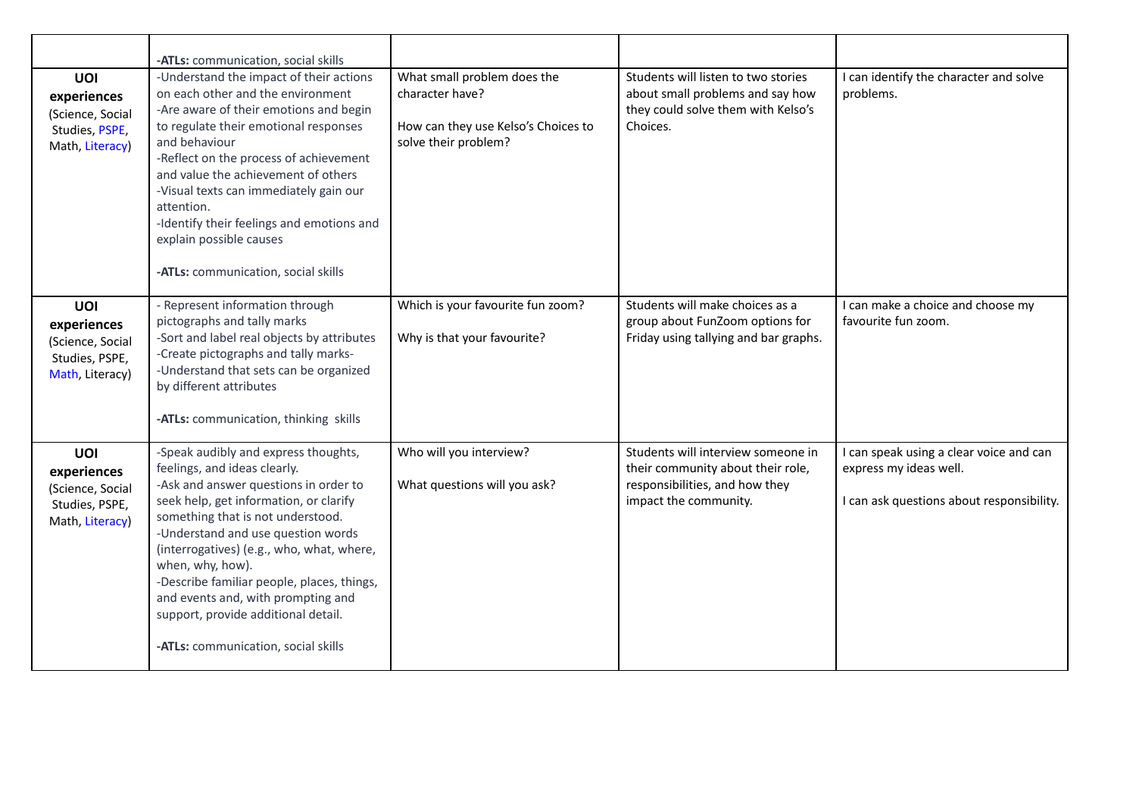|                                                                                    | -ATLs: communication, social skills                                                                                                                                                                                                                                                                                                                                                                                                                                   |                                                                                                               |                                                                                                                                    |                                                                                                                |
|------------------------------------------------------------------------------------|-----------------------------------------------------------------------------------------------------------------------------------------------------------------------------------------------------------------------------------------------------------------------------------------------------------------------------------------------------------------------------------------------------------------------------------------------------------------------|---------------------------------------------------------------------------------------------------------------|------------------------------------------------------------------------------------------------------------------------------------|----------------------------------------------------------------------------------------------------------------|
| UOI<br>experiences<br>(Science, Social<br>Studies, PSPE,<br>Math, Literacy)        | -Understand the impact of their actions<br>on each other and the environment<br>-Are aware of their emotions and begin<br>to regulate their emotional responses<br>and behaviour<br>-Reflect on the process of achievement<br>and value the achievement of others<br>-Visual texts can immediately gain our<br>attention.<br>-Identify their feelings and emotions and<br>explain possible causes<br>-ATLs: communication, social skills                              | What small problem does the<br>character have?<br>How can they use Kelso's Choices to<br>solve their problem? | Students will listen to two stories<br>about small problems and say how<br>they could solve them with Kelso's<br>Choices.          | I can identify the character and solve<br>problems.                                                            |
| <b>UOI</b><br>experiences<br>(Science, Social<br>Studies, PSPE,<br>Math, Literacy) | - Represent information through<br>pictographs and tally marks<br>-Sort and label real objects by attributes<br>-Create pictographs and tally marks-<br>-Understand that sets can be organized<br>by different attributes<br>-ATLs: communication, thinking skills                                                                                                                                                                                                    | Which is your favourite fun zoom?<br>Why is that your favourite?                                              | Students will make choices as a<br>group about FunZoom options for<br>Friday using tallying and bar graphs.                        | I can make a choice and choose my<br>favourite fun zoom.                                                       |
| <b>UOI</b><br>experiences<br>(Science, Social<br>Studies, PSPE,<br>Math, Literacy) | -Speak audibly and express thoughts,<br>feelings, and ideas clearly.<br>-Ask and answer questions in order to<br>seek help, get information, or clarify<br>something that is not understood.<br>-Understand and use question words<br>(interrogatives) (e.g., who, what, where,<br>when, why, how).<br>-Describe familiar people, places, things,<br>and events and, with prompting and<br>support, provide additional detail.<br>-ATLs: communication, social skills | Who will you interview?<br>What questions will you ask?                                                       | Students will interview someone in<br>their community about their role,<br>responsibilities, and how they<br>impact the community. | I can speak using a clear voice and can<br>express my ideas well.<br>I can ask questions about responsibility. |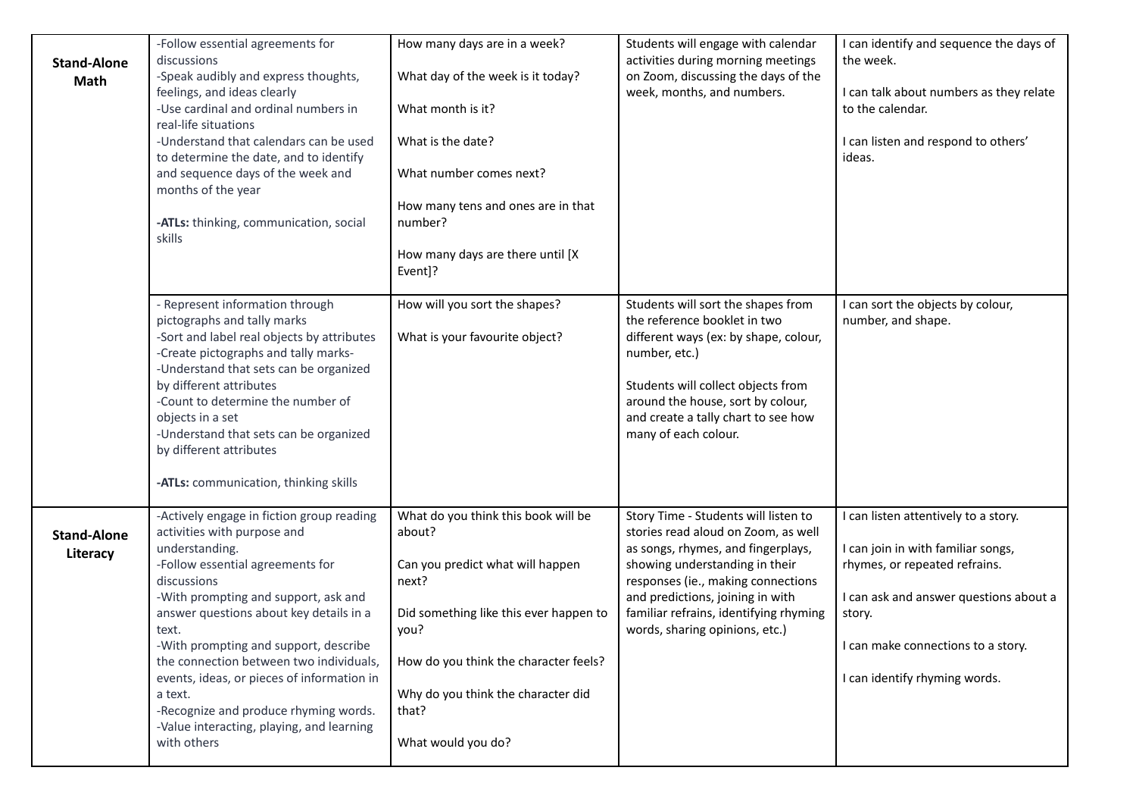| <b>Stand-Alone</b><br>Math     | -Follow essential agreements for<br>discussions<br>-Speak audibly and express thoughts,<br>feelings, and ideas clearly<br>-Use cardinal and ordinal numbers in<br>real-life situations<br>-Understand that calendars can be used<br>to determine the date, and to identify<br>and sequence days of the week and<br>months of the year<br>-ATLs: thinking, communication, social<br>skills                                                                                                   | How many days are in a week?<br>What day of the week is it today?<br>What month is it?<br>What is the date?<br>What number comes next?<br>How many tens and ones are in that<br>number?<br>How many days are there until [X<br>Event]?                     | Students will engage with calendar<br>activities during morning meetings<br>on Zoom, discussing the days of the<br>week, months, and numbers.                                                                                                                                                             | I can identify and sequence the days of<br>the week.<br>I can talk about numbers as they relate<br>to the calendar.<br>I can listen and respond to others'<br>ideas.                                                                   |
|--------------------------------|---------------------------------------------------------------------------------------------------------------------------------------------------------------------------------------------------------------------------------------------------------------------------------------------------------------------------------------------------------------------------------------------------------------------------------------------------------------------------------------------|------------------------------------------------------------------------------------------------------------------------------------------------------------------------------------------------------------------------------------------------------------|-----------------------------------------------------------------------------------------------------------------------------------------------------------------------------------------------------------------------------------------------------------------------------------------------------------|----------------------------------------------------------------------------------------------------------------------------------------------------------------------------------------------------------------------------------------|
|                                | - Represent information through<br>pictographs and tally marks<br>-Sort and label real objects by attributes<br>-Create pictographs and tally marks-<br>-Understand that sets can be organized<br>by different attributes<br>-Count to determine the number of<br>objects in a set<br>-Understand that sets can be organized<br>by different attributes<br>-ATLs: communication, thinking skills                                                                                            | How will you sort the shapes?<br>What is your favourite object?                                                                                                                                                                                            | Students will sort the shapes from<br>the reference booklet in two<br>different ways (ex: by shape, colour,<br>number, etc.)<br>Students will collect objects from<br>around the house, sort by colour,<br>and create a tally chart to see how<br>many of each colour.                                    | I can sort the objects by colour,<br>number, and shape.                                                                                                                                                                                |
| <b>Stand-Alone</b><br>Literacy | -Actively engage in fiction group reading<br>activities with purpose and<br>understanding.<br>-Follow essential agreements for<br>discussions<br>-With prompting and support, ask and<br>answer questions about key details in a<br>text.<br>-With prompting and support, describe<br>the connection between two individuals,<br>events, ideas, or pieces of information in<br>a text.<br>-Recognize and produce rhyming words.<br>-Value interacting, playing, and learning<br>with others | What do you think this book will be<br>about?<br>Can you predict what will happen<br>next?<br>Did something like this ever happen to<br>you?<br>How do you think the character feels?<br>Why do you think the character did<br>that?<br>What would you do? | Story Time - Students will listen to<br>stories read aloud on Zoom, as well<br>as songs, rhymes, and fingerplays,<br>showing understanding in their<br>responses (ie., making connections<br>and predictions, joining in with<br>familiar refrains, identifying rhyming<br>words, sharing opinions, etc.) | I can listen attentively to a story.<br>I can join in with familiar songs,<br>rhymes, or repeated refrains.<br>I can ask and answer questions about a<br>story.<br>I can make connections to a story.<br>I can identify rhyming words. |